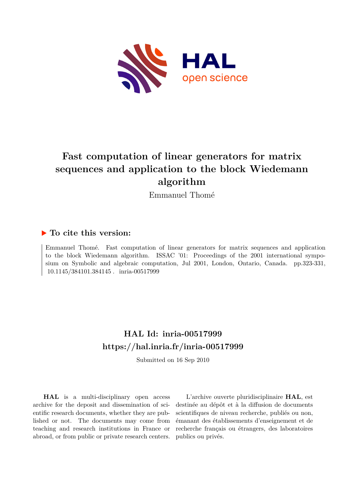

# **Fast computation of linear generators for matrix sequences and application to the block Wiedemann algorithm**

Emmanuel Thomé

# **To cite this version:**

Emmanuel Thomé. Fast computation of linear generators for matrix sequences and application to the block Wiedemann algorithm. ISSAC '01: Proceedings of the 2001 international symposium on Symbolic and algebraic computation, Jul 2001, London, Ontario, Canada. pp.323-331, 10.1145/384101.384145. inria-00517999

# **HAL Id: inria-00517999 <https://hal.inria.fr/inria-00517999>**

Submitted on 16 Sep 2010

**HAL** is a multi-disciplinary open access archive for the deposit and dissemination of scientific research documents, whether they are published or not. The documents may come from teaching and research institutions in France or abroad, or from public or private research centers.

L'archive ouverte pluridisciplinaire **HAL**, est destinée au dépôt et à la diffusion de documents scientifiques de niveau recherche, publiés ou non, émanant des établissements d'enseignement et de recherche français ou étrangers, des laboratoires publics ou privés.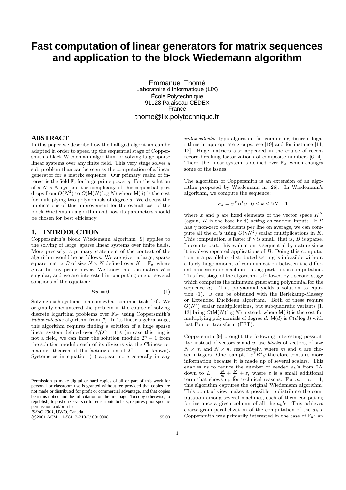# **Fast computation of linear generators for matrix sequences and application to the block Wiedemann algorithm**

Emmanuel Thomé Laboratoire d'Informatique (LIX) École Polytechnique 91128 Palaiseau CEDEX France thome@lix.polytechnique.fr

# **ABSTRACT**

In this paper we describe how the half-gcd algorithm can be adapted in order to speed up the sequential stage of Coppersmith's block Wiedemann algorithm for solving large sparse linear systems over any finite field. This very stage solves a sub-problem than can be seen as the computation of a linear generator for a matrix sequence. Our primary realm of interest is the field  $\mathbb{F}_q$  for large prime power q. For the solution of a  $N \times N$  system, the complexity of this sequential part drops from  $O(N^2)$  to  $O(M(N) \log N)$  where  $M(d)$  is the cost for multiplying two polynomials of degree d. We discuss the implications of this improvement for the overall cost of the block Wiedemann algorithm and how its parameters should be chosen for best efficiency.

# **1. INTRODUCTION**

Coppersmith's block Wiedemann algorithm [9] applies to the solving of large, sparse linear systems over finite fields. More precisely, a primary statement of the context of the algorithm would be as follows. We are given a large, sparse square matrix B of size  $N \times N$  defined over  $K = \mathbb{F}_q$ , where  $q$  can be any prime power. We know that the matrix  $B$  is singular, and we are interested in computing one or several solutions of the equation:

$$
Bw = 0.\t\t(1)
$$

Solving such systems is a somewhat common task [16]. We originally encountered the problem in the course of solving discrete logarithm problems over  $\mathbb{F}_{2^n}$  using Coppersmith's index-calculus algorithm from [7]. In its linear algebra stage, this algorithm requires finding a solution of a huge sparse linear system defined over  $\mathbb{Z}/(2^n-1)\mathbb{Z}$  (in case this ring is not a field, we can infer the solution modulo  $2^n - 1$  from the solution modulo each of its divisors via the Chinese remainder theorem if the factorization of  $2^n - 1$  is known). Systems as in equation (1) appear more generally in any

*ISSAC 2001,* UWO, Canada

c <sup>2001</sup> ACM 1-58113-218-2/ 00/ <sup>0008</sup> \$5.00

index-calculus-type algorithm for computing discrete logarithms in appropriate groups: see [19] and for instance [11, 12]. Huge matrices also appeared in the course of recent record-breaking factorizations of composite numbers [6, 4]. There, the linear system is defined over  $\mathbb{F}_2$ , which changes some of the issues.

The algorithm of Coppersmith is an extension of an algorithm proposed by Wiedemann in [26]. In Wiedemann's algorithm, we compute the sequence:

$$
a_k = x^{\mathrm{T}} B^k y, \ 0 \le k \le 2N - 1,
$$

where x and y are fixed elements of the vector space  $K^N$ (again,  $K$  is the base field) acting as random inputs. If  $B$ has  $\gamma$  non-zero coefficients per line on average, we can compute all the  $a_k$ 's using  $O(\gamma N^2)$  scalar multiplications in K. This computation is faster if  $\gamma$  is small, that is, B is sparse. In counterpart, this evaluation is sequential by nature since it involves repeated applications of  $B$ . Doing this computation in a parallel or distributed setting is infeasible without a fairly huge amount of communication between the different processors or machines taking part to the computation. This first stage of the algorithm is followed by a second stage which computes the minimum generating polynomial for the sequence  $a_k$ . This polynomial yields a solution to equation (1). It can be obtained with the Berlekamp-Massey or Extended Euclidean algorithm. Both of these require  $O(N^2)$  scalar multiplications, but subquadratic variants [1, 13] bring  $O(M(N) \log N)$  instead, where  $M(d)$  is the cost for multiplying polynomials of degree d.  $\mathsf{M}(d)$  is  $O(d \log d)$  with fast Fourier transform (FFT).

Coppersmith [9] brought the following interesting possibility: instead of vectors  $x$  and  $y$ , use blocks of vectors, of size  $N \times m$  and  $N \times n$ , respectively, where m and n are chosen integers. One "sample"  $x^{\mathrm{T}}B^k y$  therefore contains more information because it is made up of several scalars. This enables us to reduce the number of needed  $a_k$ 's from  $2N$ down to  $L = \frac{N}{m} + \frac{N}{n} + \varepsilon$ , where  $\varepsilon$  is a small additional term that shows up for technical reasons. For  $m = n = 1$ , this algorithm captures the original Wiedemann algorithm. This point of view makes it possible to distribute the computation among several machines, each of them computing for instance a given column of all the  $a_k$ 's. This achieves coarse-grain parallelization of the computation of the  $a_k$ 's. Coppersmith was primarily interested in the case of  $\mathbb{F}_2$ : an

Permission to make digital or hard copies of all or part of this work for personal or classroom use is granted without fee provided that copies are not made or distributed for profit or commercial advantage, and that copies bear this notice and the full citation on the first page. To copy otherwise, to republish, to post on servers or to redistribute to lists, requires prior specific permission and/or a fee.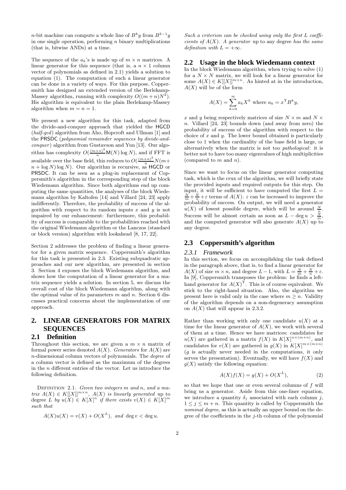*n*-bit machine can compute a whole line of  $B^k y$  from  $B^{k-1} y$ in one single operation, performing  $n$  binary multiplications (that is, bitwise ANDs) at a time.

The sequence of the  $a_k$ 's is made up of  $m \times n$  matrices. A linear generator for this sequence (that is, a  $n \times 1$  column vector of polynomials as defined in 2.1) yields a solution to equation (1). The computation of such a linear generator can be done in a variety of ways. For this purpose, Coppersmith has designed an extended version of the Berlekamp-Massey algorithm, running with complexity  $O((m+n)N^2)$ . His algorithm is equivalent to the plain Berlekamp-Massey algorithm when  $m = n = 1$ .

We present a new algorithm for this task, adapted from the divide-and-conquer approach that yielded the HGCD (half-gcd) algorithm from Aho, Hopcroft and Ullman [1] and the PRSDC (polynomial remainder sequences by divide-and $conquer$ ) algorithm from Gustavson and Yun [13]. Our algorithm has complexity  $O(\frac{(m+n)^3}{n}M(N)\log N)$ , and if FFT is available over the base field, this reduces to  $O(\frac{(m+n)^2}{n}N(m+$  $n + \log N$ ) log N). Our algorithm is recursive, as HGCD or PRSDC. It can be seen as a plug-in replacement of Coppersmith's algorithm in the corresponding step of the block Wiedemann algorithm. Since both algorithms end up computing the same quantities, the analyses of the block Wiedemann algorithm by Kaltofen [14] and Villard [24, 23] apply indifferently. Therefore, the probability of success of the algorithm with respect to its random inputs  $x$  and  $y$  is not impaired by our enhancement: furthermore, this probability of success is comparable to the probabilities reached with the original Wiedemann algorithm or the Lanczos (standard or block version) algorithm with lookahead [8, 17, 22].

Section 2 addresses the problem of finding a linear generator for a given matrix sequence. Coppersmith's algorithm for this task is presented in 2.3. Existing subquadratic approaches and our new algorithm, are presented in section 3. Section 4 exposes the block Wiedemann algorithm, and shows how the computation of a linear generator for a matrix sequence yields a solution. In section 5, we discuss the overall cost of the block Wiedemann algorithm, along with the optimal value of its parameters  $m$  and  $n$ . Section 6 discusses practical concerns about the implementation of our approach.

# **2. LINEAR GENERATORS FOR MATRIX SEQUENCES**

### **2.1 Definition**

Throughout this section, we are given a  $m \times n$  matrix of formal power series denoted  $A(X)$ . Generators for  $A(X)$  are n-dimensional column vectors of polynomials. The degree of a column vector is defined as the maximum of the degrees in the  $n$  different entries of the vector. Let us introduce the following definition.

DEFINITION 2.1. Given two integers  $m$  and  $n$ , and a matrix  $A(X) \in K[[X]]^{m \times n}$ ,  $A(X)$  is linearly generated up to degree  $L$  by  $u(X) \in K[X]^n$  if there exists  $v(X) \in K[X]^m$ such that

$$
A(X)u(X) = v(X) + O(X^{L}), \text{ and } \deg v < \deg u.
$$

Such a criterion can be checked using only the first L coefficients of  $A(X)$ . A generator up to any degree has the same definition with  $L = +\infty$ .

#### **2.2 Usage in the block Wiedemann context**

In the block Wiedemann algorithm, when trying to solve (1) for a  $N \times N$  matrix, we will look for a linear generator for some  $A(X) \in K[[X]]^{m \times n}$ . As hinted at in the introduction,  $A(X)$  will be of the form

$$
A(X) = \sum_{k=0}^{\infty} a_k X^k
$$
 where  $a_k = x^{\mathrm{T}} B^k y$ ,

x and y being respectively matrices of size  $N \times m$  and  $N \times$ n. Villard [24, 23] bounds down (and away from zero) the probability of success of the algorithm with respect to the choice of  $x$  and  $y$ . The lower bound obtained is particularly close to 1 when the cardinality of the base field is large, or alternatively when the matrix is not too pathological: it is better not to have too many eigenvalues of high multiplicities (compared to  $m$  and  $n$ ).

Since we want to focus on the linear generator computing task, which is the crux of the algorithm, we will briefly state the provided inputs and required outputs for this step. On input, it will be sufficient to have computed the first  $L =$  $\frac{N}{m} + \frac{N}{n} + \varepsilon$  terms of  $A(X)$ .  $\varepsilon$  can be increased to improve the probability of success. On output, we will need a generator  $u(X)$  of lowest possible degree, which will be around  $\frac{N}{n}$ .  $\frac{n}{m}$ Success will be almost certain as soon as  $L - \text{deg } u >$ and the computed generator will also generate  $A(X)$  up to any degree.

#### **2.3 Coppersmith's algorithm**

#### *2.3.1 Framework*

In this section, we focus on accomplishing the task defined in the paragraph above, that is, to find a linear generator for  $A(X)$  of size  $m \times n$ , and degree  $L-1$ , with  $L = \frac{N}{m} + \frac{N}{n} + \varepsilon$ . In [9], Coppersmith transposes the problem: he finds a lefthand generator for  $A(X)$ <sup>T</sup>. This is of course equivalent. We stick to the right-hand situation. Also, the algorithm we present here is valid only in the case where  $m > n$ . Validity of the algorithm depends on a non-degeneracy assumption on  $A(X)$  that will appear in 2.3.2.

Rather than working with only one candidate  $u(X)$  at a time for the linear generator of  $A(X)$ , we work with several of them at a time. Hence we have matrices: candidates for  $u(X)$  are gathered in a matrix  $f(X)$  in  $K[X]^{n \times (m+n)}$ , and candidates for  $v(X)$  are gathered in  $g(X)$  in  $K[X]^{m \times (m+n)}$  $(q$  is actually never needed in the computations, it only serves the presentation). Eventually, we will have  $f(X)$  and  $q(X)$  satisfy the following equation:

$$
A(X)f(X) = g(X) + O(X^{L}),
$$
 (2)

so that we hope that one or even several columns of  $f$  will bring us a generator. Aside from this one-liner equation, we introduce a quantity  $\delta_j$  associated with each column j,  $1 \leq j \leq m+n$ . This quantity is called by Coppersmith the nominal degree, as this is actually an upper bound on the degree of the coefficients in the  $j$ -th column of the polynomial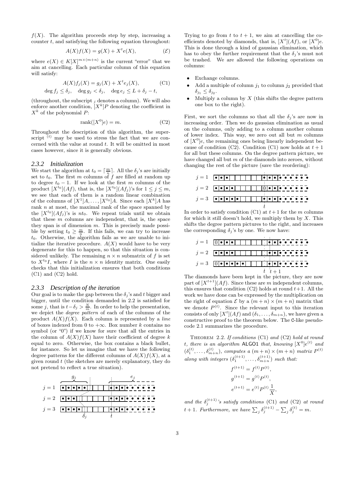$f(X)$ . The algorithm proceeds step by step, increasing a counter  $t$ , and satisfying the following equation throughout:

$$
A(X)f(X) = g(X) + X^{t}e(X),
$$
 (E)

where  $e(X) \in K[X]^{m \times (m+n)}$  is the current "error" that we aim at cancelling. Each particular column of this equation will satisfy:

$$
A(X)f_j(X) = g_j(X) + X^t e_j(X),
$$
 (C1)  

$$
\deg f_j \le \delta_j, \quad \deg g_j < \delta_j, \quad \deg e_j \le L + \delta_j - t,
$$

(throughout, the subscript  $_j$  denotes a column). We will also enforce another condition,  $[X^k]P$  denoting the coefficient in  $X^k$  of the polynomial P:

$$
rank([X0]e) = m.
$$
 (C2)

Throughout the description of this algorithm, the superscript  $<sup>(t)</sup>$  may be used to stress the fact that we are con-</sup> cerned with the value at round  $t$ . It will be omitted in most cases however, since it is generally obvious.

#### *2.3.2 Initialization*

We start the algorithm at  $t_0 = \lceil \frac{m}{n} \rceil$ . All the  $\delta_j$ 's are initially set to  $t_0$ . The first m columns of f are filled at random up to degree  $t_0 - 1$ . If we look at the first m columns of the product  $[X^{t_0}](Af)$ , that is, the  $[X^{t_0}](Af_j)$ 's for  $1 \leq j \leq m$ , we see that each of them is a random linear combination of the columns of  $[X^1]A, \ldots, [X^{t_0}]A$ . Since each  $[X^k]A$  has rank n at most, the maximal rank of the space spanned by the  $[X^{t_0}](Af_j)$ 's is  $nt_0$ . We repeat trials until we obtain that these  $m$  columns are independent, that is, the space they span is of dimension  $m$ . This is precisely made possible by setting  $t_0 \geq \frac{m}{n}$ . If this fails, we can try to increase to by setting  $t_0 \nleq n$ . It this rails, we can try to interests<br>to. Otherwise, the algorithm fails as we are unable to initialize the iterative procedure.  $A(X)$  would have to be very degenerate for this to happen, so that this situation is considered unlikely. The remaining  $n \times n$  submatrix of f is set to  $X^{t_0}I$ , where I is the  $n \times n$  identity matrix. One easily checks that this initialization ensures that both conditions (C1) and (C2) hold.

#### *2.3.3 Description of the iteration*

Our goal is to make the gap between the  $\delta_j$ 's and t bigger and bigger, until the condition demanded in 2.2 is satisfied for some j, that is  $t - \delta_j > \frac{N}{m}$ . In order to help the presentation, we depict the degree pattern of each of the columns of the product  $A(X)f(X)$ . Each column is represented by a line of boxes indexed from 0 to  $+\infty$ . Box number k contains no symbol (or "0") if we know for sure that all the entries in the column of  $A(X)f(X)$  have their coefficient of degree k equal to zero. Otherwise, the box contains a black bullet, for instance. So let us imagine that we have the following degree patterns for the different columns of  $A(X)f(X)$ , at a given round t (the sketches are merely explanatory, they do not pretend to reflect a true situation).



Trying to go from t to  $t + 1$ , we aim at cancelling the coefficients denoted by diamonds, that is,  $[X^t](Af)$ , or  $[X^0]e$ . This is done through a kind of gaussian elimination, which has to obey the further requirement that the  $\delta_i$ 's must not be trashed. We are allowed the following operations on columns:

- Exchange columns.
- Add a multiple of column  $j_1$  to column  $j_2$  provided that  $\delta_{j_1} \leq \delta_{j_2}$ .
- Multiply a column by  $X$  (this shifts the degree pattern one box to the right).

First, we sort the columns so that all the  $\delta_i$ 's are now in increasing order. Then we do gaussian elimination as usual on the columns, only adding to a column another column of lower index. This way, we zero out all but  $m$  columns of  $[X^0]e$ , the remaining ones being linearly independent because of condition (C2). Condition (C1) now holds at  $t + 1$ for all but these columns. On the degree pattern picture, we have changed all but m of the diamonds into zeroes, without changing the rest of the picture (save the reordering):



In order to satisfy condition (C1) at  $t+1$  for the m columns for which it still doesn't hold, we multiply them by  $X$ . This shifts the degree pattern pictures to the right, and increases the corresponding  $\delta_j$ 's by one. We now have:



The diamonds have been kept in the picture, they are now part of  $[X^{t+1}](Af)$ . Since these are m independent columns, this ensures that condition  $(C2)$  holds at round  $t+1$ . All the work we have done can be expressed by the multiplication on the right of equation  $\mathcal E$  by a  $(m+n) \times (m+n)$  matrix that we denote  $P^{(t)}$ . Since the relevant input to this iteration consists of only  $[X^t](Af)$  and  $(\delta_1, \ldots, \delta_{m+n})$ , we have given a constructive proof to the theorem below. The C-like pseudocode 2.1 summarizes the procedure.

THEOREM 2.2. If conditions  $(C1)$  and  $(C2)$  hold at round t, there is an algorithm ALGO1 that, knowing  $[X^0]e^{(t)}$  and  $(\delta_1^{(t)}, \ldots, \delta_{m+n}^{(t)})$ , computes a  $(m+n) \times (m+n)$  matrix  $P^{(t)}$ along with integers  $(\delta_1^{(t+1)}, \ldots, \delta_{m+n}^{(t+1)})$  such that:

$$
f^{(t+1)} = f^{(t)} P^{(t)},
$$
  
\n
$$
g^{(t+1)} = g^{(t)} P^{(t)},
$$
  
\n
$$
e^{(t+1)} = e^{(t)} P^{(t)} \frac{1}{X}
$$

and the  $\delta_j^{(t+1)}$ 's satisfy conditions (C1) and (C2) at round  $t+1$ . Furthermore, we have  $\sum_j \delta_j^{(t+1)} - \sum_j \delta_j^{(t)} = m$ .

,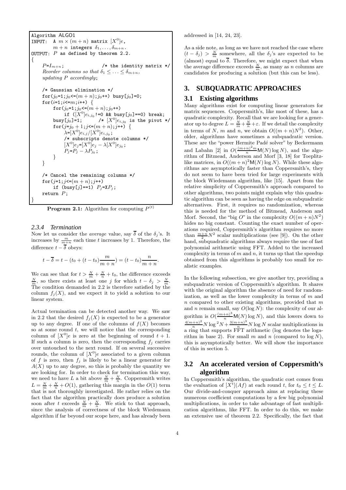```
Algorithm ALGO1
INPUT: A m \times (m+n) matrix [X^0]e,
          m + n integers \delta_1, \ldots, \delta_{m+n}.
OUTPUT: P as defined by theorem 2.2.
{
     P=I_{m+n}; \qquad \qquad /* the identity matrix */
     Reorder columns so that \delta_1 \leq \ldots \leq \delta_{m+n},
     updating P accordingly;
     /* Gaussian elimination */
     for(j_0=1;j_0<=(m + n);j_0++) busy[j_0]=0;
     for (i=1; i<=m; i++) {
          for(j_0=1;j_0<=(m + n);j_0++)
               if ([X^0]e_{i,j_0}!=0 && busy[j_0]=-0) break;
          busy[j_0]=1; \qquad /* [X^0]e_{i,j_0} is the pivot */
          for (j=j_0+1; j \leq (m+n); j++) {
               \lambda=[X<sup>0</sup>]e_{i,j}/[X^0]e_{i,j_0};
               /* subscripts denote columns */
               [X^0]e_j = [X^0]e_j - \lambda [X^0]e_{j_0};P_j = P_j - \lambda P_{j_0};
          }
    }
     /* Cancel the remaining columns */
     for(j=1; j \leq (m+n); j++)if (busy[j]=-1) P_j=XP_j;
    return P;
}
```
**Program 2.1:** Algorithm for computing  $P^{(t)}$ 

#### *2.3.4 Termination*

Now let us consider the *average* value, say  $\overline{\delta}$  of the  $\delta_j$ 's. It increases by  $\frac{m}{m+n}$  each time t increases by 1. Therefore, the difference  $t - \overline{\delta}$  obeys:

$$
t - \overline{\delta} = t - (t_0 + (t - t_0) \frac{m}{m + n}) = (t - t_0) \frac{n}{m + n}
$$

We can see that for  $t > \frac{N}{m} + \frac{N}{n} + t_0$ , the difference exceeds  $\frac{N}{m}$ , so there exists at least one j for which  $t - \delta_j > \frac{N}{m}$ . The condition demanded in 2.2 is therefore satisfied by the column  $f_i(X)$ , and we expect it to yield a solution to our linear system.

Actual termination can be detected another way. We saw in 2.2 that the desired  $f_j(X)$  is expected to be a generator up to any degree. If one of the columns of  $f(X)$  becomes so at some round  $t$ , we will notice that the corresponding column of  $[X^0]e$  is zero at the beginning of round  $t + 1$ . If such a column is zero, then the corresponding  $f_i$  carries over untouched to the next round. If on several successive rounds, the column of  $[X^0]e$  associated to a given column of f is zero, then  $f_i$  is likely to be a linear generator for  $A(X)$  up to any degree, so this is probably the quantity we are looking for. In order to check for termination this way, we need to have L a bit above  $\frac{N}{m} + \frac{N}{n}$ . Coppersmith writes  $L = \frac{N}{m} + \frac{N}{n} + O(1)$ , gathering this margin in the  $O(1)$  term that is not thoroughly investigated. He rather relies on the fact that the algorithm practically does produce a solution soon after t exceeds  $\frac{N}{m} + \frac{N}{n}$ . We stick to that approach, since the analysis of correctness of the block Wiedemann algorithm if far beyond our scope here, and has already been addressed in [14, 24, 23].

As a side note, as long as we have not reached the case where  $(t - \delta_j) > \frac{N}{m}$  somewhere, all the  $\delta_j$ 's are expected to be (almost) equal to  $\delta$ . Therefore, we might expect that when the average difference exceeds  $\frac{N}{m}$ , as many as n columns are candidates for producing a solution (but this can be less).

# **3. SUBQUADRATIC APPROACHES**

#### **3.1 Existing algorithms**

Many algorithms exist for computing linear generators for matrix sequences. Coppersmith's, like most of these, has a quadratic complexity. Recall that we are looking for a generator up to degree  $L = \frac{N}{m} + \frac{N}{n} + \varepsilon$ . If we detail the complexity in terms of N, m and n, we obtain  $O((m+n)N^2)$ . Other, older, algorithms have sometimes a subquadratic version. These are the "power Hermite Padé solver" by Beckermann and Labahn [2] in  $O(\frac{(m+n)^2m}{n}M(N)\log N)$ , and the algorithm of Bitmead, Anderson and Morf [3, 18] for Toeplitzlike matrices, in  $O((m+n)^2M(N)\log N)$ . While these algorithms are asymptotically faster than Coppersmith's, they do not seem to have been tried for large experiments with the block Wiedemann algorithm, like [15]. Apart from the relative simplicity of Coppersmith's approach compared to other algorithms, two points might explain why this quadratic algorithm can be seen as having the edge on subquadratic alternatives. First, it requires no randomization, whereas this is needed for the method of Bitmead, Anderson and Morf. Second, the "big O" in the complexity  $O((m+n)N^2)$ hides no big constant. Counting the exact number of operations required, Coppersmith's algorithm requires no more than  $\frac{m+n}{2}N^2$  scalar multiplications (see [9]). On the other hand, subquadratic algorithms always require the use of fast polynomial arithmetic using FFT. Added to the increased complexity in terms of  $m$  and  $n$ , it turns up that the speedup obtained from this algorithms is probably too small for realistic examples.

In the following subsection, we give another try, providing a subquadratic version of Coppersmith's algorithm. It shares with the original algorithm the absence of need for randomization, as well as the lower complexity in terms of  $m$  and  $n$  compared to other existing algorithms, provided that  $m$ and *n* remain small, say  $O(\log N)$ : the complexity of our algorithm is  $O(\frac{(m+n)^3}{n}M(N)\log N)$ , and this lowers down to  $\frac{4(m+n)^2}{n}N\log^2 N + \frac{3(m+n)^3}{n}N\log N$  scalar multiplications in a ring that supports FFT arithmetic (log denotes the logarithm in base 2). For small m and n (compared to  $log N$ ), this is asymptotically better. We will show the importance of this in section 5.

## **3.2 An accelerated version of Coppersmith's algorithm**

In Coppersmith's algorithm, the quadratic cost comes from the evaluation of  $[X^t](Af)$  at each round t, for  $t_0 \leq t \leq L$ . Our divide-and-conquer approach aims at replacing these numerous coefficient computations by a few big polynomial multiplications, in order to take advantage of fast multiplication algorithms, like FFT. In order to do this, we make an extensive use of theorem 2.2. Specifically, the fact that

.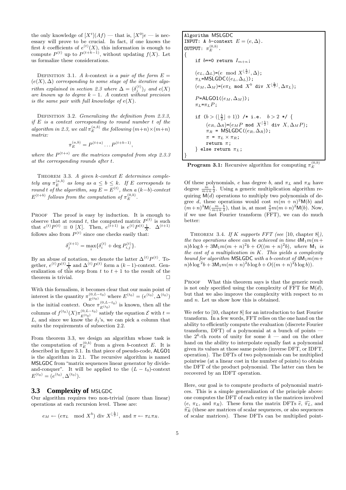the only knowledge of  $[X^t](Af)$  — that is,  $[X^0]e$  — is necessary will prove to be crucial. In fact, if one knows the first k coefficients of  $e^{(t)}(X)$ , this information is enough to compute  $P^{(t)}$  up to  $P^{(t+k-1)}$ , without updating  $f(X)$ . Let us formalize these considerations.

DEFINITION 3.1. A k-context is a pair of the form  $E =$  $(e(X), \Delta)$  corresponding to some stage of the iterative algorithm explained in section 2.3 where  $\Delta = (\delta_j^{(t)})_j$  and  $e(X)$ are known up to degree  $k-1$ . A context without precision is the same pair with full knowledge of  $e(X)$ .

DEFINITION 3.2. Generalizing the definition from 2.3.3, if  $E$  is a context corresponding to round number  $t$  of the algorithm in 2.3, we call  $\pi_E^{(a,b)}$  the following  $(m+n)\times(m+n)$ matrix:

$$
\pi_E^{(a,b)} = P^{(t+a)} \dots P^{(t+b-1)},
$$

where the  $P^{(t+s)}$  are the matrices computed from step 2.3.3 at the corresponding rounds after t.

THEOREM 3.3. A given  $k$ -context  $E$  determines completely any  $\pi_E^{(a,b)}$  as long as  $a \leq b \leq k$ . If E corresponds to round t of the algorithm, say  $E = E^{(t)}$ , then a  $(k-b)$ -context  $E^{(t+b)}$  follows from the computation of  $\pi_E^{(0,b)}$ .

PROOF The proof is easy by induction. It is enough to observe that at round t, the computed matrix  $P^{(t)}$  is such that  $e^{(t)}P^{(t)} \equiv 0$  [X]. Then,  $e^{(\tilde{t}+1)}$  is  $e^{(t)}P^{(t)}\frac{1}{X}$ .  $\Delta^{(t+1)}$ follows also from  $P^{(t)}$  since one checks easily that:

$$
\delta_j^{(t+1)} = \max_i \{ \delta_i^{(t)} + \deg P_{i,j}^{(t)} \}.
$$

By an abuse of notation, we denote the latter  $\Delta^{(t)}P^{(t)}$ . Together,  $e^{(t)}P^{(t)}\frac{1}{X}$  and  $\Delta^{(t)}P^{(t)}$  form a  $(k-1)$ -context. Generalization of this step from  $t$  to  $t + 1$  to the result of the theorem is trivial.  $\hfill \square$ 

With this formalism, it becomes clear that our main point of interest is the quantity  $\pi_{E^{(t_0)}}^{(0,L-t_0)}$  where  $E^{(t_0)} = (e^{(t_0)}, \Delta^{(t_0)})$ is the initial context. Once  $\pi_{E^{(t_0)}}^{(0,L-t_0)}$  is known, then all the columns of  $f^{(t_0)}(X)\pi_{E^{(t_0)}}^{(0,L-t_0)}$  satisfy the equation  $\mathcal E$  with  $t =$ L, and since we know the  $\delta_i$ 's, we can pick a column that suits the requirements of subsection 2.2.

From theorem 3.3, we design an algorithm whose task is the computation of  $\pi_E^{(0,b)}$  from a given b-context E. It is described in figure 3.1. In that piece of pseudo-code, ALGO1 is the algorithm in 2.1. The recursive algorithm is named MSLGDC from "matrix sequences linear generator by divideand-conquer". It will be applied to the  $(L - t_0)$ -context  $E^{(t_0)} = (e^{(t_0)}, \Delta^{(t_0)}).$ 

#### **3.3 Complexity of** MSLGDC

Our algorithm requires two non-trivial (more than linear) operations at each recursion level. These are:

$$
e_M \leftarrow (e\pi_L \mod X^b) \text{ div } X^{\lfloor \frac{b}{2} \rfloor}, \text{ and } \pi \leftarrow \pi_L \pi_R.
$$

Algorithm MSLGDC  
\nINPUT: A b-context 
$$
E = (e, \Delta)
$$
.  
\nOUTPUT:  $\pi_E^{(0,b)}$ .  
\n{  
\nif b=0 return  $I_{m+n}$ ;  
\n $(e_L, \Delta_L) = (e \mod X^{\lfloor \frac{b}{2} \rfloor}, \Delta)$ ;  
\n $\pi_L = \text{MSLGDC}((e_L, \Delta_L))$ ;  
\n $(e_M, \Delta_M) = (e\pi_L \mod X^b \text{ div } X^{\lfloor \frac{b}{2} \rfloor}, \Delta \pi_L)$ ;  
\n $P = \text{ALGOL}((e_M, \Delta_M))$ ;  
\n $\pi_L = \pi_L P$ ;  
\nif  $(b > (\lfloor \frac{b}{2} \rfloor + 1)) / *$  i.e.  $b > 2 * / \{ (e_R, \Delta_R) = (e_M P \mod X^{\lceil \frac{b}{2} \rceil} \text{ div } X, \Delta_M P)$ ;  
\n $\pi_R = \text{MSLGDC}((e_R, \Delta_R))$ ;  
\n $\pi = \pi_L \times \pi_R$ ;  
\nreturn  $\pi$ ;  
\n} else return  $\pi_L$ ;  
\n}

**Program 3.1:** Recursive algorithm for computing  $\pi_E^{(0,b)}$ 

Of these polynomials, e has degree b, and  $\pi_L$  and  $\pi_R$  have degree  $\frac{m}{m+n} \frac{b}{2}$ . Using a generic multiplication algorithm requiring  $M(d)$  operations to multiply two polynomials of degree d, these operations would cost  $m(m + n)^2$ M(b) and  $(m+n)^3\mathsf{M}(\frac{m}{m+n}\frac{b}{2})$ , that is, at most  $\frac{3}{2}m(m+n)^2\mathsf{M}(b)$ . Now, if we use fast Fourier transform (FFT), we can do much better:

THEOREM 3.4. If K supports FFT (see [10, chapter 8]), the two operations above can be achieved in time  $4M_1m(m+$  $n)b \log b + 3\mathsf{M}_1 m(m+n)^2 b + O((m+n)^2b)$ , where  $\mathsf{M}_1$  is the cost of a multiplication in  $K$ . This yields a complexity bound for algorithm MSLGDC with a b-context of  $4M_1m(m+$  $n)b \log^2 b + 3{\sf M}_1 m (m+n)^2 b \log b + O((m+n)^2 b \log b)).$ 

PROOF What this theorem says is that the generic result is not only specified using the complexity of FFT for  $M(d)$ , but that we also improve the complexity with respect to  $m$ and n. Let us show how this is obtained.

We refer to [10, chapter 8] for an introduction to fast Fourier transform. In a few words, FFT relies on the one hand on the ability to efficiently compute the evaluation (discrete Fourier transform, DFT) of a polynomial at a bunch of points the  $2^k$ -th roots of unity for some  $k$  — and on the other hand on the ability to interpolate equally fast a polynomial given its values at those same points (inverse DFT, or IDFT, operation). The DFTs of two polynomials can be multiplied pointwise (at a linear cost in the number of points) to obtain the DFT of the product polynomial. The latter can then be recovered by an IDFT operation.

Here, our goal is to compute products of polynomial matrices. This is a simple generalization of the principle above: one computes the DFT of each entry in the matrices involved  $(e, \pi_L, \text{ and } \pi_R)$ . These form the matrix DFTs  $\widehat{e}, \widehat{\pi_L}$ , and  $\widehat{\pi_R}$  (these are matrices of scalar sequences, or also sequences of scalar matrices). These DFTs can be multiplied point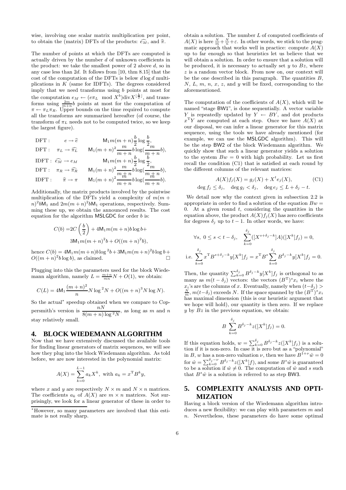wise, involving one scalar matrix multiplication per point, to obtain the (matrix) DFTs of the products:  $\widehat{e_M}$ , and  $\widehat{\pi}$ .

The number of points at which the DFTs are computed is actually driven by the number d of unknown coefficients in the product: we take the smallest power of  $2$  above  $d$ , so in any case less than 2d. It follows from [10, thm 8.15] that the cost of the computation of the DFTs is below  $d \log d$  multiplications in  $K$  (same for IDFTs). The degrees considered imply that we need transforms using b points at most for the computation  $e_M \leftarrow (e \pi_L \mod X^b) \text{div} X^{\lfloor \frac{b}{2} \rfloor}$ , and transforms using  $\frac{2m}{m+n}b$  points at most for the computation of  $\pi \leftarrow \pi_L \pi_R$ . Upper bounds on the time required to compute all the transforms are summarized hereafter (of course, the transform of  $\pi_L$  needs not to be computed twice, so we keep the largest figure).

$$
\begin{aligned} \mathrm{DFT}: \qquad & e\rightarrow \widehat{e} & \qquad \mathrm{M}_1 m(m+n) \frac{b}{2} \log \frac{b}{2},\\ \mathrm{DFT}: \quad & \pi_L \rightarrow \widehat{\pi_L} & \qquad \mathrm{M}_1 (m+n)^2 \frac{m}{m+n} b \log (\frac{m}{m+n} b),\\ \mathrm{IDFT}: \quad & \widehat{e_M} \rightarrow e_M & \qquad \mathrm{M}_1 m(m+n) \frac{b}{2} \log \frac{b}{2},\\ \mathrm{DFT}: \quad & \pi_R \rightarrow \widehat{\pi_R} & \qquad \mathrm{M}_1 (m+n)^2 \frac{m}{m+n} b \log (\frac{m}{m+n} b),\\ \mathrm{IDFT}: \qquad & \widehat{\pi} \rightarrow \pi & \qquad \mathrm{M}_1 (m+n)^2 \frac{m}{m+n} b \log (\frac{m}{m+n} b). \end{aligned}
$$

Additionally, the matrix products involved by the pointwise multiplication of the DFTs yield a complexity of  $m(m +$  $n)^2 bM_1$  and  $2m(m+n)^2 bM_1$  operations, respectively. Summing these up, we obtain the announced results. The cost equation for the algorithm  $MSLGDC$  for order  $b$  is:

$$
C(b) = 2C\left(\frac{b}{2}\right) + 4M_1m(m+n)b\log b +
$$

$$
3M_1m(m+n)^2b + O((m+n)^2b),
$$

hence  $C(b) = 4M_1 m(m+n)b \log^2 b + 3M_1 m(m+n)^2 b \log b +$  $O((m+n)^2b\log b)$ , as claimed.

Plugging into this the parameters used for the block Wiedemann algorithm, namely  $L = \frac{m+n}{mn}N + O(1)$ , we obtain:

$$
C(L) = 4M_1 \frac{(m+n)^2}{n} N \log^2 N + O((m+n)^3 N \log N).
$$

So the actual<sup>∗</sup> speedup obtained when we compare to Coppersmith's version is  $\frac{nN}{8(m+n)\log^2 N}$ , as long as m and n stay relatively small.

#### **4. BLOCK WIEDEMANN ALGORITHM**

Now that we have extensively discussed the available tools for finding linear generators of matrix sequences, we will see how they plug into the block Wiedemann algorithm. As told before, we are now interested in the polynomial matrix:

$$
A(X) = \sum_{k=0}^{L-1} a_k X^k, \text{ with } a_k = x^{\mathrm{T}} B^k y,
$$

where x and y are respectively  $N \times m$  and  $N \times n$  matrices. The coefficients  $a_k$  of  $A(X)$  are  $m \times n$  matrices. Not surprisingly, we look for a linear generator of these in order to obtain a solution. The number  $L$  of computed coefficients of  $A(X)$  is here  $\frac{N}{m} + \frac{N}{n} + \varepsilon$ . In other words, we stick to the pragmatic approach that works well in practice: compute  $A(X)$ up to far enough so that heuristics let us believe that we will obtain a solution. In order to ensure that a solution will be produced, it is necessary to actually set  $y$  to  $Bz$ , where z is a random vector block. From now on, our context will be the one described in this paragraph. The quantities  $B$ ,  $N, L, m, n, x, z$ , and y will be fixed, corresponding to the aforementioned.

The computation of the coefficients of  $A(X)$ , which will be named "stage BW1", is done sequentially. A vector variable Y is repeatedly updated by  $Y \leftarrow BY$ , and dot products  $x^T Y$  are computed at each step. Once we have  $A(X)$  at our disposal, we can infer a linear generator for this matrix sequence, using the tools we have already mentioned (for example, we can use the MSLGDC algorithm). This will be the step BW2 of the block Wiedemann algorithm. We quickly show that such a linear generator yields a solution to the system  $Bw = 0$  with high probability. Let us first recall the condition (C1) that is satisfied at each round by the different columns of the relevant matrices:

$$
A(X)f_j(X) = g_j(X) + X^t e_j(X),
$$
 (C1)  

$$
\deg f_j \le \delta_j, \quad \deg g_j < \delta_j, \quad \deg e_j \le L + \delta_j - t.
$$

We detail now why the context given in subsection 2.2 is appropriate in order to find a solution of the equation  $Bw =$ 0. At a given round  $t$ , considering the quantities in the equation above, the product  $A(X)f_i(X)$  has zero coefficients for degrees  $\delta_i$  up to  $t-1$ . In other words, we have:

$$
\forall s, \ 0 \le s < t - \delta_j, \quad \sum_{k=0}^{\delta_j} ([X^{s+\delta_j-k}]A)([X^k]f_j) = 0,
$$
  
i.e. 
$$
\sum_{k=0}^{\delta_j} x^{\mathrm{T}} B^{s+\delta_j-k} y[X^k] f_j = x^{\mathrm{T}} B^s \sum_{k=0}^{\delta_j} B^{\delta_j-k} y[X^k] f_j = 0.
$$

Then, the quantity  $\sum_{k=0}^{\delta_j} B^{\delta_j-k} y[X^k] f_j$  is orthogonal to as many as  $m(t - \delta_j)$  vectors: the vectors  $(B^T)^s x_i$  where the  $x_i$ 's are the columns of x. Eventually, namely when  $(t-\delta_j)$  >  $\frac{N}{m}$ ,  $m(t-\delta_j)$  exceeds N. If the space spanned by the  $(B^{\mathrm{T}})^s x_i$ has maximal dimension (this is our heuristic argument that we hope will hold), our quantity is then zero. If we replace  $y$  by  $Bz$  in the previous equation, we obtain:

$$
B\sum_{k=0}^{\delta_j} B^{\delta_j-k} z([X^k]f_j) = 0.
$$

If this equation holds,  $w = \sum_{k=0}^{\delta_j} B^{\delta_j - k} z([X^k]f_j)$  is a solution if it is non-zero. In case it is zero but as a "polynomial" in B, w has a non-zero valuation  $\nu$ , then we have  $B^{1+\nu}\hat{w}=0$ for  $\hat{w} = \sum_{k=0}^{\delta_j - \nu} B^{\delta_j - k} z([X^k]f)$ , and some  $B^s \hat{w}$  is guaranteed to be a solution if  $\hat{w} \neq 0$ . The computation of  $\hat{w}$  and s such that  $B^s \hat{w}$  is a solution is referred to as step BW3.

# **5. COMPLEXITY ANALYSIS AND OPTI-MIZATION**

Having a block version of the Wiedemann algorithm introduces a new flexibility: we can play with parameters  $m$  and n. Nevertheless, these parameters do have some optimal

<sup>∗</sup>However, so many parameters are involved that this estimate is not really sharp.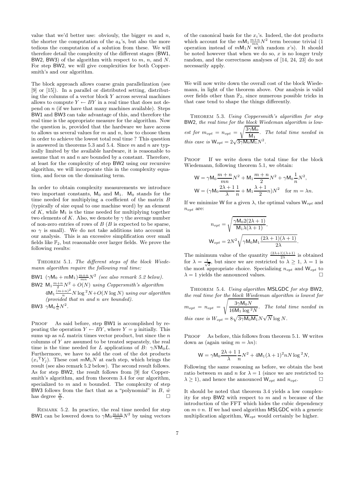value that we'd better use: obviouly, the bigger  $m$  and  $n$ , the shorter the computation of the  $a_k$ 's, but also the more tedious the computation of a solution from these. We will therefore detail the complexity of the different stages (BW1, BW2, BW3) of the algorithm with respect to  $m$ ,  $n$ , and  $N$ . For step BW2, we will give complexities for both Coppersmith's and our algorithm.

The block approach allows coarse grain parallelization (see [9] or [15]). In a parallel or distributed setting, distributing the columns of a vector block  $Y$  across several machines allows to compute  $Y \leftarrow BY$  in a real time that does not depend on  $n$  (if we have that many machines available). Steps BW1 and BW3 can take advantage of this, and therefore the real time is the appropriate measure for the algorithm. Now the question is, provided that the hardware we have access to allows us several values for  $m$  and  $n$ , how to choose them in order to achieve the lowest total real time ? This question is answered in theorems 5.3 and 5.4. Since  $m$  and  $n$  are typically limited by the available hardware, it is reasonable to assume that  $m$  and  $n$  are bounded by a constant. Therefore, at least for the complexity of step BW2 using our recursive algorithm, we will incorporate this in the complexity equation, and focus on the dominating term.

In order to obtain complexity measurements we introduce two important constants,  $M_0$  and  $M_1$ .  $M_0$  stands for the time needed for multiplying a coefficient of the matrix  $\boldsymbol{B}$ (typically of size equal to one machine word) by an element of  $K$ , while  $M_1$  is the time needed for multiplying together two elements of K. Also, we denote by  $\gamma$  the average number of non-zero entries of rows of  $B(B)$  is expected to be sparse, so  $\gamma$  is small). We do not take additions into account in our analysis. This is an excessive simplification over small fields like  $\mathbb{F}_2$ , but reasonable over larger fields. We prove the following results:

THEOREM 5.1. The different steps of the block Wiedemann algorithm require the following real time:

BW1  $(\gamma M_0 + mM_1) \frac{m+n}{mn} N^2$  (see also remark 5.2 below). BW2  $M_1 \frac{m+n}{2} N^2 + O(N)$  using Coppersmith's algorithm

 $4\mathsf{M}_1\frac{(m+n)^2}{n}N\log^2\!N+O(N\log N)$  using our algorithm (provided that  $m$  and  $n$  are bounded).

BW3  $\gamma M_0 \frac{1}{n} N^2$ .

PROOF As said before, step BW1 is accomplished by repeating the operation  $Y \leftarrow BY$ , where  $Y = y$  initially. This sums up as  $nL$  matrix times vector product, but since the  $n$ columns of Y are assumed to be treated separately, the real time is the time needed for L applications of B:  $\gamma N M_0 L$ . Furthermore, we have to add the cost of the dot products  $(x_i^{\mathrm{T}} Y_j)$ . These cost  $mM_1N$  at each step, which brings the result (see also remark 5.2 below). The second result follows. As for step BW2, the result follows from [9] for Coppersmith's algorithm, and from theorem 3.4 for our algorithm, specialized to  $m$  and  $n$  bounded. The complexity of step BW3 follows from the fact that as a "polynomial" in B,  $\hat{w}$ has degree  $\frac{N}{n}$ .

REMARK 5.2. In practice, the real time needed for step BW1 can be lowered down to  $\gamma \mathsf{M}_0 \frac{m+n}{mn} N^2$  by using vectors

of the canonical basis for the  $x_i$ 's. Indeed, the dot products which account for the  $mM_1 \frac{m+n}{mn} N^2$  term become trivial (1) operation instead of  $mM_1N$  with random x's). It should be noted however that when we do so,  $x$  is no longer truly random, and the correctness analyses of [14, 24, 23] do not necessarily apply.

We will now write down the overall cost of the block Wiedemann, in light of the theorem above. Our analysis is valid over fields other than  $\mathbb{F}_2$ , since numerous possible tricks in that case tend to shape the things differently.

THEOREM 5.3. Using Coppersmith's algorithm for step BW2, the real time for the block Wiedeman algorithm is lowest for  $m_{opt} = n_{opt}$  =  $\sqrt{3\gamma}$ M<sub>0</sub>  $\frac{1}{M_1}$ . The total time needed in this case is  $W_{opt} = 2\sqrt{3\gamma M_0 M_1} N^2$ .

PROOF If we write down the total time for the block Wiedemann, following theorem 5.1, we obtain:

$$
W = \gamma M_0 \frac{m+n}{mn} N^2 + M_1 \frac{m+n}{2} N^2 + \gamma M_0 \frac{1}{n} N^2,
$$
  

$$
W = (\gamma M_0 \frac{2\lambda+1}{\lambda} \frac{1}{n} + M_1 \frac{\lambda+1}{2} n) N^2 \text{ for } m = \lambda n.
$$

If we minimize W for a given  $\lambda$ , the optimal values  $W_{opt}$  and  $n_{opt}$  are:

$$
n_{opt} = \sqrt{\frac{\gamma M_0 2(2\lambda + 1)}{M_1 \lambda(\lambda + 1)}},
$$
  
\n
$$
W_{opt} = 2N^2 \sqrt{\gamma M_0 M_1 \frac{(2\lambda + 1)(\lambda + 1)}{2\lambda}}
$$

.

The minimum value of the quantity  $\frac{(2\lambda+1)(\lambda+1)}{2\lambda}$  is obtained for  $\lambda = \frac{1}{\sqrt{2}}$ , but since we are restricted to  $\lambda \geq 1$ ,  $\lambda = 1$  is the most appropriate choice. Specializing  $n_{opt}$  and  $W_{opt}$  to  $\lambda = 1$  yields the announced values.

THEOREM 5.4. Using algorithm MSLGDC for step BW2, the real time for the block Wiedeman algorithm is lowest for  $m_{opt} = n_{opt} =$  $\int 3\gamma M_0 N$  $\frac{16M_1 \log^2 N}{16M_1 \log^2 N}$ . The total time needed in this case is  $W_{opt} = 8\sqrt{3\gamma M_0 M_1} N \sqrt{N} \log N$ .

PROOF As before, this follows from theorem 5.1. W writes down as (again using  $m = \lambda n$ ):

$$
W = \gamma M_0 \frac{2\lambda + 1}{\lambda} \frac{1}{n} N^2 + 4M_1 (\lambda + 1)^2 n N \log^2 N,
$$

Following the same reasoning as before, we obtain the best ratio between m and n for  $\lambda = 1$  (since we are restricted to  $\lambda \geq 1$ , and hence the announced  $\mathsf{W}_{opt}$  and  $n_{opt}$ .

It should be noted that theorem 3.4 yields a low complexity for step BW2 with respect to  $m$  and  $n$  because of the introduction of the FFT which hides the cubic dependency on  $m + n$ . If we had used algorithm MSLGDC with a generic multiplication algorithm,  $W_{opt}$  would certainly be higher.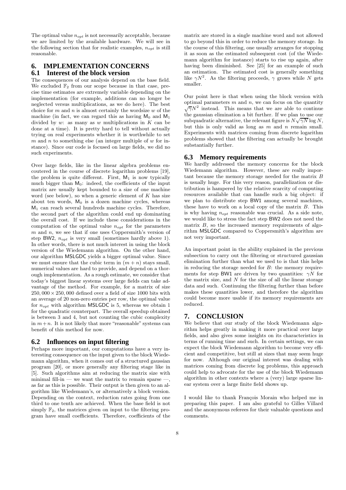The optimal value  $n_{opt}$  is not necessarily acceptable, because we are limited by the available hardware. We will see in the following section that for realistic examples,  $n_{opt}$  is still reasonable.

# **6. IMPLEMENTATION CONCERNS 6.1 Interest of the block version**

The consequences of our analysis depend on the base field. We excluded  $\mathbb{F}_2$  from our scope because in that case, precise time estimates are extremely variable depending on the implementation (for example, additions can no longer be neglected versus multiplications, as we do here). The best choice for  $m$  and  $n$  is almost certainly the wordsize  $w$  of the machine (in fact, we can regard this as having  $M_0$  and  $M_1$ divided by  $w$ : as many as  $w$  multiplications in  $K$  can be done at a time). It is pretty hard to tell without actually trying on real experiments whether it is worthwhile to set  $m$  and  $n$  to something else (an integer multiple of  $w$  for instance). Since our code is focused on large fields, we did no such experiments.

Over large fields, like in the linear algebra problems encoutered in the course of discrete logarithm problems [19], the problem is quite different. First,  $M_1$  is now typically much bigger than  $M_0$ : indeed, the coefficients of the input matrix are usually kept bounded to a size of one machine word (see below), so when a generic element of  $K$  has size about ten words,  $M_0$  is a dozen machine cycles, whereas  $M_1$  can reach several hundreds machine cycles. Therefore, the second part of the algorithm could end up dominating the overall cost. If we include these considerations in the computation of the optimal value  $n_{opt}$  for the parameters  $m$  and  $n$ , we see that if one uses Coppersmith's version of step BW2,  $n_{opt}$  is very small (sometimes hardly above 1). In other words, there is not much interest in using the block version of the Wiedemann algorithm. On the other hand, our algorithm MSLGDC yields a bigger optimal value. Since we must ensure that the cubic term in  $(m + n)$  stays small, numerical values are hard to provide, and depend on a thorough implementation. As a rough estimate, we consider that today's biggest linear systems over large fields can take advantage of the method. For example, for a matrix of size  $250,000 \times 250,000$  defined over a field of size 1000 bits with an average of 20 non-zero entries per row, the optimal value for  $n_{opt}$  with algorithm MSLGDC is 5, whereas we obtain 1 for the quadratic counterpart. The overall speedup obtained is between 3 and 4, but not counting the cubic complexity in  $m+n$ . It is not likely that more "reasonable" systems can benefit of this method for now.

### **6.2 Influences on input filtering**

Perhaps more important, our computations have a very interesting consequence on the input given to the block Wiedemann algorithm, when it comes out of a structured gaussian program [20], or more generally any filtering stage like in [5]. Such algorithms aim at reducing the matrix size with minimal fill-in — we want the matrix to remain sparse as far as this is possible. Their output is then given to an algorithm like Wiedemann's, or alternatively a block version. Depending on the context, reduction rates going from one third to one tenth are achieved. When the base field is not simply  $\mathbb{F}_2$ , the matrices given on input to the filtering program have small coefficients. Therefore, coefficients of the

matrix are stored in a single machine word and not allowed to go beyond this in order to reduce the memory storage. In the course of this filtering, one usually arranges for stopping it as soon as the estimated subsequent cost (of the Wiedemann algorithm for instance) starts to rise up again, after having been diminished. See [25] for an example of such an estimation. The estimated cost is generally something like  $\gamma N^2$ . As the filtering proceeds,  $\gamma$  grows while N gets smaller.

Our point here is that when using the block version with optimal parameters  $m$  and  $n$ , we can focus on the quantity  $\sqrt{\gamma}N^2$  instead. This means that we are able to continue the gaussian elimination a bit further. If we plan to use our subquadratic alternative, the relevant figure is  $N\sqrt{\gamma N} \log N$ , but this is only valid as long as  $m$  and  $n$  remain small. Experiments with matrices coming from discrete logarithm problems showed that the filtering can actually be brought substantially further.

#### **6.3 Memory requirements**

We hardly addressed the memory concerns for the block Wiedemann algorithm. However, these are really important because the memory storage needed for the matrix B is usually huge. For this very reason, parallelization or distribution is hampered by the relative scarcity of computing resources available that can handle such a big object: if we plan to distribute step BW1 among several machines, these have to work on a local copy of the matrix  $B$ . This is why having  $n_{opt}$  reasonable was crucial. As a side note, we would like to stress the fact step BW2 does not need the matrix  $B$ , so the increased memory requirements of algorithm MSLGDC compared to Coppersmith's algorithm are not very important.

An important point in the ability explained in the previous subsection to carry out the filtering or structured gaussian elimination further than what we used to is that this helps in reducing the storage needed for B: the memory requirements for step BW1 are driven by two quantities:  $\gamma N$  for the matrix size, and  $N$  for the size of all the linear storage data and such. Continuing the filtering further than before makes these quantities lower, and therefore the algorithm could become more usable if its memory requirements are reduced.

### **7. CONCLUSION**

We believe that our study of the block Wiedemann algorithm helps greatly in making it more practical over large fields, and also gives some insights on its characteristics in terms of running time and such. In certain settings, we can expect the block Wiedemann algorithm to become very efficient and competitive, but still at sizes that may seem huge for now. Although our original interest was dealing with matrices coming from discrete log problems, this approach could help to advocate for the use of the block Wiedemann algorithm in other contexts where a (very) large sparse linear system over a large finite field shows up.

I would like to thank François Morain who helped me in preparing this paper. I am also grateful to Gilles Villard and the anonymous referees for their valuable questions and comments.